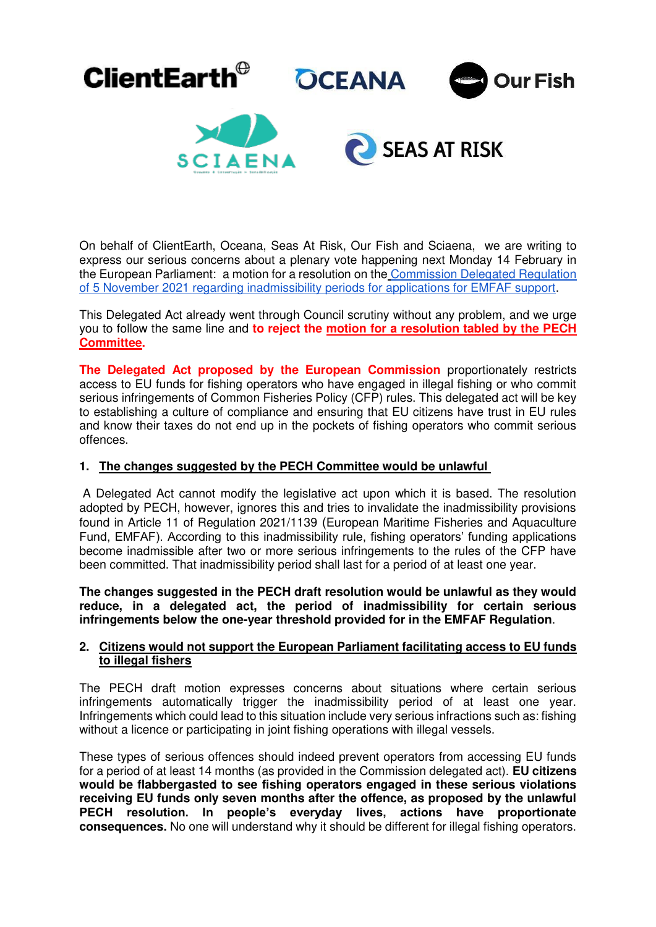

On behalf of ClientEarth, Oceana, Seas At Risk, Our Fish and Sciaena, we are writing to express our serious concerns about a plenary vote happening next Monday 14 February in the European Parliament: a motion for a resolution on th[e Commission Delegated Regulation](https://webgate.ec.europa.eu/regdel/web/delegatedActs/1674/documents/6984?lang=en)  [of 5 November 2021 regarding inadmissibility periods for applications for EMFAF support.](https://webgate.ec.europa.eu/regdel/web/delegatedActs/1674/documents/6984?lang=en)

This Delegated Act already went through Council scrutiny without any problem, and we urge you to follow the same line and **to reject the [motion for a resolution tabled by the PECH](https://www.europarl.europa.eu/meetdocs/2014_2019/plmrep/COMMITTEES/PECH/DV/2022/02-03/DelAct-EMFAF_MotionforResolution_EN.pdf)  [Committee.](https://www.europarl.europa.eu/meetdocs/2014_2019/plmrep/COMMITTEES/PECH/DV/2022/02-03/DelAct-EMFAF_MotionforResolution_EN.pdf)**

**The Delegated Act proposed by the European Commission** proportionately restricts access to EU funds for fishing operators who have engaged in illegal fishing or who commit serious infringements of Common Fisheries Policy (CFP) rules. This delegated act will be key to establishing a culture of compliance and ensuring that EU citizens have trust in EU rules and know their taxes do not end up in the pockets of fishing operators who commit serious offences.

## **1. The changes suggested by the PECH Committee would be unlawful**

 A Delegated Act cannot modify the legislative act upon which it is based. The resolution adopted by PECH, however, ignores this and tries to invalidate the inadmissibility provisions found in Article 11 of Regulation 2021/1139 (European Maritime Fisheries and Aquaculture Fund, EMFAF). According to this inadmissibility rule, fishing operators' funding applications become inadmissible after two or more serious infringements to the rules of the CFP have been committed. That inadmissibility period shall last for a period of at least one year.

**The changes suggested in the PECH draft resolution would be unlawful as they would reduce, in a delegated act, the period of inadmissibility for certain serious infringements below the one-year threshold provided for in the EMFAF Regulation**.

## **2. Citizens would not support the European Parliament facilitating access to EU funds to illegal fishers**

The PECH draft motion expresses concerns about situations where certain serious infringements automatically trigger the inadmissibility period of at least one year. Infringements which could lead to this situation include very serious infractions such as: fishing without a licence or participating in joint fishing operations with illegal vessels.

These types of serious offences should indeed prevent operators from accessing EU funds for a period of at least 14 months (as provided in the Commission delegated act). **EU citizens would be flabbergasted to see fishing operators engaged in these serious violations receiving EU funds only seven months after the offence, as proposed by the unlawful PECH resolution. In people's everyday lives, actions have proportionate consequences.** No one will understand why it should be different for illegal fishing operators.